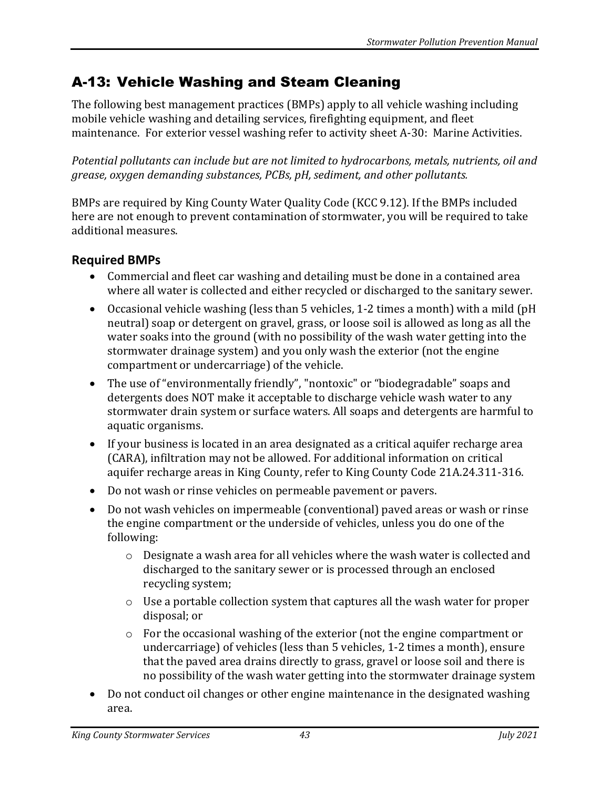## A-13: Vehicle Washing and Steam Cleaning

The following best management practices (BMPs) apply to all vehicle washing including mobile vehicle washing and detailing services, firefighting equipment, and fleet maintenance. For exterior vessel washing refer to activity sheet A-30: Marine Activities.

*Potential pollutants can include but are not limited to hydrocarbons, metals, nutrients, oil and grease, oxygen demanding substances, PCBs, pH, sediment, and other pollutants.*

BMPs are required by King County Water Quality Code (KCC 9.12). If the BMPs included here are not enough to prevent contamination of stormwater, you will be required to take additional measures.

## **Required BMPs**

- Commercial and fleet car washing and detailing must be done in a contained area where all water is collected and either recycled or discharged to the sanitary sewer.
- Occasional vehicle washing (less than 5 vehicles, 1-2 times a month) with a mild (pH neutral) soap or detergent on gravel, grass, or loose soil is allowed as long as all the water soaks into the ground (with no possibility of the wash water getting into the stormwater drainage system) and you only wash the exterior (not the engine compartment or undercarriage) of the vehicle.
- The use of "environmentally friendly", "nontoxic" or "biodegradable" soaps and detergents does NOT make it acceptable to discharge vehicle wash water to any stormwater drain system or surface waters. All soaps and detergents are harmful to aquatic organisms.
- If your business is located in an area designated as a critical aquifer recharge area (CARA), infiltration may not be allowed. For additional information on critical aquifer recharge areas in King County, refer to King County Code 21A.24.311-316.
- Do not wash or rinse vehicles on permeable pavement or pavers.
- Do not wash vehicles on impermeable (conventional) paved areas or wash or rinse the engine compartment or the underside of vehicles, unless you do one of the following:
	- o Designate a wash area for all vehicles where the wash water is collected and discharged to the sanitary sewer or is processed through an enclosed recycling system;
	- o Use a portable collection system that captures all the wash water for proper disposal; or
	- o For the occasional washing of the exterior (not the engine compartment or undercarriage) of vehicles (less than 5 vehicles, 1-2 times a month), ensure that the paved area drains directly to grass, gravel or loose soil and there is no possibility of the wash water getting into the stormwater drainage system
- Do not conduct oil changes or other engine maintenance in the designated washing area.